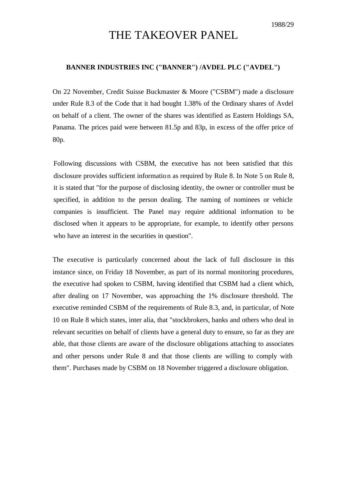## THE TAKEOVER PANEL

## **BANNER INDUSTRIES INC ("BANNER") /AVDEL PLC ("AVDEL")**

On 22 November, Credit Suisse Buckmaster & Moore ("CSBM") made a disclosure under Rule 8.3 of the Code that it had bought 1.38% of the Ordinary shares of Avdel on behalf of a client. The owner of the shares was identified as Eastern Holdings SA, Panama. The prices paid were between 81.5p and 83p, in excess of the offer price of 80p.

Following discussions with CSBM, the executive has not been satisfied that this disclosure provides sufficient information as required by Rule 8. In Note 5 on Rule 8, it is stated that "for the purpose of disclosing identity, the owner or controller must be specified, in addition to the person dealing. The naming of nominees or vehicle companies is insufficient. The Panel may require additional information to be disclosed when it appears to be appropriate, for example, to identify other persons who have an interest in the securities in question".

The executive is particularly concerned about the lack of full disclosure in this instance since, on Friday 18 November, as part of its normal monitoring procedures, the executive had spoken to CSBM, having identified that CSBM had a client which, after dealing on 17 November, was approaching the 1% disclosure threshold. The executive reminded CSBM of the requirements of Rule 8.3, and, in particular, of Note 10 on Rule 8 which states, inter alia, that "stockbrokers, banks and others who deal in relevant securities on behalf of clients have a general duty to ensure, so far as they are able, that those clients are aware of the disclosure obligations attaching to associates and other persons under Rule 8 and that those clients are willing to comply with them". Purchases made by CSBM on 18 November triggered a disclosure obligation.